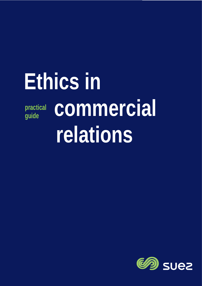# **Ethics in practical guide commercial relations**

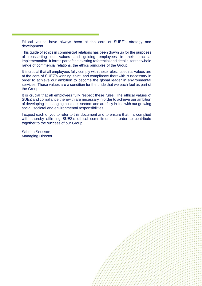Ethical values have always been at the core of SUEZ's strategy and development.

This guide of ethics in commercial relations has been drawn up for the purposes of reasserting our values and guiding employees in their practical implementation. It forms part of the existing referential and details, for the whole range of commercial relations, the ethics principles of the Group.

It is crucial that all employees fully comply with these rules. Its ethics values are at the core of SUEZ's winning spirit, and compliance therewith is necessary in order to achieve our ambition to become the global leader in environmental services. These values are a condition for the pride that we each feel as part of the Group.

It is crucial that all employees fully respect these rules. The ethical values of SUEZ and compliance therewith are necessary in order to achieve our ambition of developing in changing business sectors and are fully in line with our growing social, societal and environmental responsibilities.

I expect each of you to refer to this document and to ensure that it is complied with, thereby affirming SUEZ's ethical commitment, in order to contribute together to the success of our Group.

Sabrina Soussan Managing Director

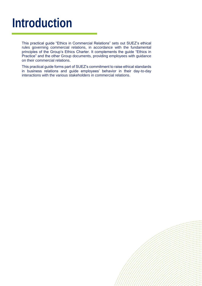## **Introduction**

This practical guide "Ethics in Commercial Relations" sets out SUEZ's ethical rules governing commercial relations, in accordance with the fundamental principles of the Group's Ethics Charter. It complements the guide "Ethics in Practice" and the other Group documents, providing employees with guidance on their commercial relations.

This practical guide forms part of SUEZ's commitment to raise ethical standards in business relations and guide employees' behavior in their day-to-day interactions with the various stakeholders in commercial relations.

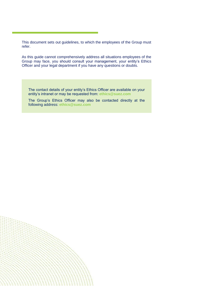This document sets out guidelines, to which the employees of the Group must refer.

As this guide cannot comprehensively address all situations employees of the Group may face, you should consult your management, your entity's Ethics Officer and your legal department if you have any questions or doubts.

The contact details of your entity's Ethics Officer are available on your entity's intranet or may be requested from: **[ethics@suez.com](mailto:ethics@suez.com)**

The Group's Ethics Officer may also be contacted directly at the following address: **[ethics@suez.com](mailto:ethics@suez.com)**

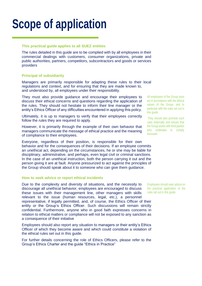## **Scope of application**

#### **This practical guide applies to all SUEZ entities**

The rules detailed in this guide are to be complied with by all employees in their commercial dealings with customers, consumer organizations, private and public authorities, partners, competitors, subcontractors and goods or services providers

#### **Principal of subsidiarity**

Managers are primarily responsible for adapting these rules to their local regulations and context, and for ensuring that they are made known to, and understood by, all employees under their responsibility.

They must also provide guidance and encourage their employees to discuss their ethical concerns and questions regarding the application of the rules. They should not hesitate to inform their line manager or the entity's Ethics Officer of any difficulties encountered in applying this policy.

Ultimately, it is up to managers to verify that their employees correctly follow the rules they are required to apply.

However, it is primarily through the example of their own behavior that managers communicate the message of ethical practice and the meaning of compliance to their employees.

Everyone, regardless of their position, is responsible for their own behavior and for the consequences of their decisions. If an employee commits an unethical act, depending on the circumstances, he or she may be liable for disciplinary, administrative, and perhaps, even legal civil or criminal sanctions. In the case of an unethical instruction, both the person carrying it out and the person giving it are at fault. Anyone pressurized to act against the principles of the Group should speak about it to someone who can give them guidance.

#### **How to seek advice or report ethical incidents**

Due to the complexity and diversity of situations, and the necessity to discourage all unethical behavior, employees are encouraged to discuss these issues with their management line, other managers with skills relevant to the issue (human resources, legal, etc.), a personnel representative, if legally permitted, and, of course, the Ethics Officer of their entity or the Group's Ethics Officer. Such discussions will remain strictly confidential. Furthermore, anyone who in good faith expresses concerns in relation to ethical matters or compliance will not be exposed to any sanction as a consequence of their initiative

Employees should also report any situation to managers or their entity's Ethics Officer of which they become aware and which could constitute a violation of the ethical rules set out in this guide.

For further details concerning the role of Ethics Officers, please refer to the Group's Ethics Charter and the guide "Ethics in Practice"

All employees of the Group must act in accordance with the ethical values of the Group, and in particular with the rules set out in this guide.

They should also promote such rules externally and ensure that the Group works with third parties who undertake to comply therewith.

Employees should seek advice on the practical application of the rules set out in this guide.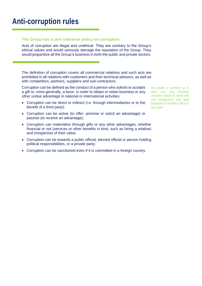### **Anti-corruption rules**

#### **The Group has a zero tolerance policy on corruption.**

Acts of corruption are illegal and unethical. They are contrary to the Group's ethical values and would seriously damage the reputation of the Group. They would jeopardize all the Group's business in both the public and private sectors.

The definition of corruption covers all commercial relations and such acts are prohibited in all relations with customers and their technical advisors, as well as with competitors, partners, suppliers and sub-contractors.

Corruption can be defined as the conduct of a person who solicits or accepts a gift or, more generally, a favor, in order to obtain or retain business or any other undue advantage in national or international activities:

- Corruption can be direct or indirect (i.e. through intermediaries or to the benefit of a third party);
- Corruption can be active (to offer, promise or solicit an advantage) or passive (to receive an advantage);
- Corruption can materialize through gifts or any other advantages, whether financial or not (services or other benefits in kind, such as hiring a relative) and irrespective of their value;
- Corruption can be towards a public official, elected official or person holding political responsibilities, or a private party;
- Corruption can be sanctioned even if it is committed in a foreign country.

Any doubts or questions as to which acts may constitute corruption should be raised with your management, your legal department or the Ethics Officer of your entity.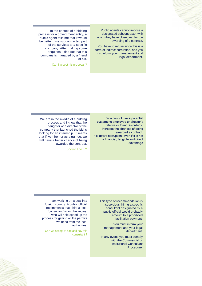Public agents cannot impose a designated subcontractor with which they have close ties, for the awarding of a contract.

You have to refuse since this is a form of indirect corruption, and you must inform your management and legal department.

In the context of a bidding process for a government entity, a public agent tells me that it would be better if we subcontracted part of the services to a specific company. After making some enquiries, I find out that this company is managed by a friend of his.

Can I accept his proposal ?

You cannot hire a potential customer's employee or director's relative or friend, in order to increase the chances of being awarded a contract. It is active corruption, even if it is not a financial, tangible and direct advantage

We are in the middle of a bidding process and I know that the daughter of a director of the company that launched the bid is looking for an internship. It seems that if we hire her as a trainee, we will have a better chance of being awarded the contract.

Should I do it ?

This type of recommendation is suspicious; hiring a specific consultant designated by a public official would probably amount to a prohibited facilitation payment.

You must inform your management and your legal department.

In any event, you must comply with the Commercial or Institutional Consultant Procedure.

I am working on a deal in a foreign country. A public official recommends that I hire a local "consultant" whom he knows, who will help speed up the process for getting all the permits we need from the local authorities.

Can we accept to hire and pay this consultant ?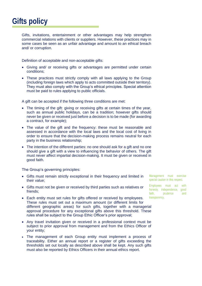### **Gifts policy**

Gifts, invitations, entertainment or other advantages may help strengthen commercial relations with clients or suppliers. However, these practices may in some cases be seen as an unfair advantage and amount to an ethical breach and/ or corruption.

Definition of acceptable and non-acceptable gifts:

- Giving and/ or receiving gifts or advantages are permitted under certain conditions;
- These practices must strictly comply with all laws applying to the Group (including foreign laws which apply to acts committed outside their territory). They must also comply with the Group's ethical principles. Special attention must be paid to rules applying to public officials.

A gift can be accepted if the following three conditions are met:

- The timing of the gift: giving or receiving gifts at certain times of the year, such as annual public holidays, can be a tradition; however gifts should never be given or received just before a decision is to be made (for awarding a contract, for example);
- The value of the gift and the frequency: these must be reasonable and assessed in accordance with the local laws and the local cost of living in order to ensure that the decision-making process remains neutral for each party in the business relationship;
- The intention of the different parties: no one should ask for a gift and no one should give a gift with a view to influencing the behavior of others. The gift must never affect impartial decision-making. It must be given or received in good faith.

The Group's governing principles:

- Gifts must remain strictly exceptional in their frequency and limited in their value;
- Gifts must not be given or received by third parties such as relatives or friends;
- Each entity must set rules for gifts offered or received by employees. These rules must set out a maximum amount (or different limits for different geographic areas) for such gifts, together with a managerial approval procedure for any exceptional gifts above this threshold. These rules shall be subject to the Group Ethic Officer's prior approval;
- Any travel invitation given or received in a professional context must be subject to prior approval from management and from the Ethics Officer of your entity;
- The management of each Group entity must implement a process of traceability. Either an annual report or a register of gifts exceeding the thresholds set out locally as described above shall be kept. Any such gifts must also be reported by Ethics Officers in their annual ethics report.

Management must exercise special caution in this respect.

Employees must act with honesty, independence, good faith, prudence and transparency.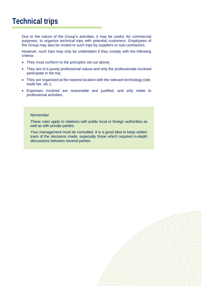### **Technical trips**

Due to the nature of the Group's activities, it may be useful, for commercial purposes, to organize technical trips with potential customers. Employees of the Group may also be invited to such trips by suppliers or sub-contractors.

However, such trips may only be undertaken if they comply with the following criteria:

- They must conform to the principles set out above;
- They are of a purely professional nature and only the professionals involved participate in the trip;
- They are organized at the nearest location with the relevant technology (site, trade fair, etc.);
- Expenses involved are reasonable and justified, and only relate to professional activities.

#### Remember

These rules apply to relations with public local or foreign authorities as well as with private parties.

Your management must be consulted. It is a good idea to keep written track of the decisions made, especially those which required in-depth discussions between several parties.

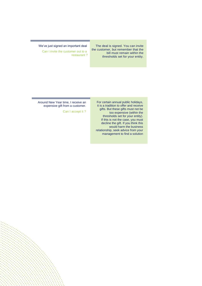The deal is signed. You can invite the customer, but remember that the bill must remain within the thresholds set for your entity.

We've just signed an important deal

Can I invite the customer out to a restaurant ?

Around New Year time, I receive an expensive gift from a customer.

Can I accept it ?

For certain annual public holidays, it is a tradition to offer and receive gifts. But these gifts must not be too expensive (within the thresholds set for your entity). If this is not the case, you must decline the gift. If you think this would harm the business relationship, seek advice from your management to find a solution

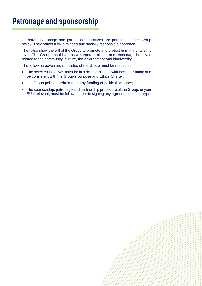### **Patronage and sponsorship**

Corporate patronage and partnership initiatives are permitted under Group policy. They reflect a civic-minded and socially responsible approach.

They also show the will of the Group to promote and protect human rights at its level. The Group should act as a corporate citizen and encourage initiatives related to the community, culture, the environment and biodiversity.

The following governing principles of the Group must be respected:

- The selected initiatives must be in strict compliance with local legislation and be consistent with the Group's purpose and Ethics Charter;
- It is Group policy to refrain from any funding of political activities;
- The sponsorship, patronage and partnership procedure of the Group, or your BU if relevant, must be followed prior to signing any agreements of this type.

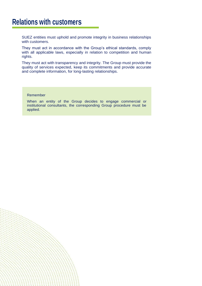#### **Relations with customers**

SUEZ entities must uphold and promote integrity in business relationships with customers.

They must act in accordance with the Group's ethical standards, comply with all applicable laws, especially in relation to competition and human rights.

They must act with transparency and integrity. The Group must provide the quality of services expected, keep its commitments and provide accurate and complete information, for long-lasting relationships.

#### Remember

When an entity of the Group decides to engage commercial or institutional consultants, the corresponding Group procedure must be applied.

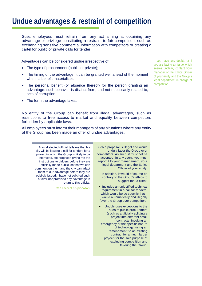### **Undue advantages & restraint of competition**

Suez employees must refrain from any act aiming at obtaining any advantage or privilege constituting a restraint to fair competition, such as exchanging sensitive commercial information with competitors or creating a cartel for public or private calls for tender.

Advantages can be considered undue irrespective of:

- The type of procurement (public or private);
- The timing of the advantage: it can be granted well ahead of the moment when its benefit materializes;
- The personal benefit (or absence thereof) for the person granting an advantage: such behavior is distinct from, and not necessarily related to, acts of corruption;
- The form the advantage takes.

No entity of the Group can benefit from illegal advantages, such as restrictions to free access to market and equality between competitors forbidden by applicable laws.

All employees must inform their managers of any situations where any entity of the Group has been made an offer of undue advantages.

> Such a proposal is illegal and would unduly favor the Group over competitors. As such, it must not be accepted. In any event, you must report it to your management, your legal department and the Ethics Officer of your entity.

In addition, it would of course be contrary to the Group's ethics to suggest that a client:

- Includes an unjustified technical requirement in a call for tenders, which would be so specific that it would automatically and illegally favor the Group over competitors;
- Unduly uses exceptions to the rules of public procurement (such as artificially splitting a project into different small contracts, invoking an emergency or the specific nature of technology, using an "amendment" to an existing contract for a much larger project) for the sole purpose of excluding competition and favoring the Group.

A local elected official tells me that his city will be issuing a call for tenders for a project in which the Group is likely to be interested. He proposes giving me the instructions to bidders before they are officially made public, so that we can comment on them and the city can adapt them to our advantage before they are publicly issued. I have not solicited such a favor nor promised any advantage in return to this official.

Can I accept his proposal?

If you have any doubts or if you are facing an issue which seems unclear, contact your manager or the Ethics Officer of your entity and the Group's legal department in charge of competition.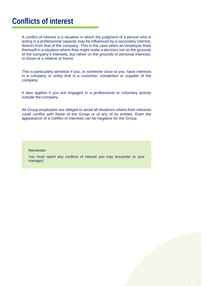### **Conflicts of interest**

A conflict of interest is a situation in which the judgment of a person who is acting in a professional capacity may be influenced by a secondary interest, distinct from that of the company. This is the case when an employee finds themself in a situation where they might make a decision not on the grounds of the company's interests, but rather on the grounds of personal interests, or those of a relative or friend.

This is particularly sensitive if you, or someone close to you, have interests in a company or entity that is a customer, competitor or supplier of the company.

It also applies if you are engaged in a professional or voluntary activity outside the company.

All Group employees are obliged to avoid all situations where their interests could conflict with those of the Group or of any of its entities. Even the appearance of a conflict of interests can be negative for the Group.

#### Remember

You must report any conflicts of interest you may encounter to your manager)

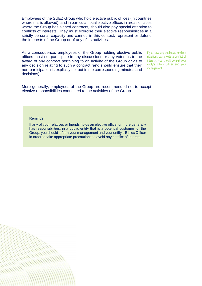Employees of the SUEZ Group who hold elective public offices (in countries where this is allowed), and in particular local elective offices in areas or cities where the Group has signed contracts, should also pay special attention to conflicts of interests. They must exercise their elective responsibilities in a strictly personal capacity and cannot, in this context, represent or defend the interests of the Group or of any of its activities.

As a consequence, employees of the Group holding elective public offices must not participate in any discussions or any votes as to the award of any contract pertaining to an activity of the Group or as to any decision relating to such a contract (and should ensure that their non-participation is explicitly set out in the corresponding minutes and decisions).

If you have any doubts as to which situations can create a conflict of interests, you should consult your entity's Ethics Officer and your management.

More generally, employees of the Group are recommended not to accept elective responsibilities connected to the activities of the Group.

#### Reminder

If any of your relatives or friends holds an elective office, or more generally has responsibilities, in a public entity that is a potential customer for the Group, you should inform your management and your entity's Ethics Officer in order to take appropriate precautions to avoid any conflict of interest.

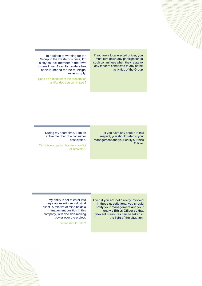If you are a local elected officer, you must turn down any participation in such committees when they relate to any tenders connected to any of the activities of the Group

In addition to working for the Group in the waste business, I'm a city council member in the town where I live. A call for tenders has been launched for the municipal water supply.

Can I be a member of the preparation and/or decision committee ?

> If you have any doubts in this respect, you should refer to your management and your entity's Ethics Officer.

During my spare time, I am an active member of a consumer association.

Can this occupation lead to a conflict of interests ?

> Even if you are not directly involved in these negotiations, you should notify your management and your entity's Ethics Officer so that relevant measures can be taken in the light of the situation.

My entity is set to enter into negotiations with an industrial client. A relative of mine holds a management position in this company, with decision-making power over the project.

What should I do?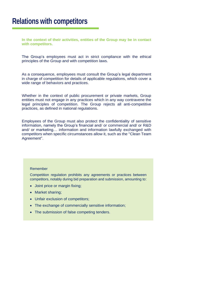#### **Relations with competitors**

**In the context of their activities, entities of the Group may be in contact with competitors.**

The Group's employees must act in strict compliance with the ethical principles of the Group and with competition laws.

As a consequence, employees must consult the Group's legal department in charge of competition for details of applicable regulations, which cover a wide range of behaviors and practices.

Whether in the context of public procurement or private markets, Group entities must not engage in any practices which in any way contravene the legal principles of competition. The Group rejects all anti-competitive practices, as defined in national regulations.

Employees of the Group must also protect the confidentiality of sensitive information, namely the Group's financial and/ or commercial and/ or R&D and/ or marketing… information and information lawfully exchanged with competitors when specific circumstances allow it, such as the "Clean Team Agreement".

#### Remember

Competition regulation prohibits any agreements or practices between competitors, notably during bid preparation and submission, amounting to:

- Joint price or margin fixing;
- Market sharing;
- Unfair exclusion of competitors;
- The exchange of commercially sensitive information;
- The submission of false competing tenders.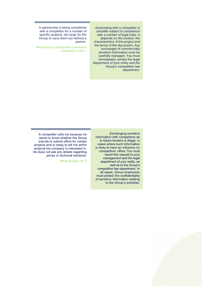Associating with a competitor is possible subject to compliance with a number of legal rules. It depends on the context, the characteristics of the project and the terms of the discussion. Any exchanges of commercially sensitive information must be carefully managed. You must immediately contact the legal department of your entity and the Group's competition law department.

A partnership is being considered with a competitor for a number of specific projects, too large for the Group to carry them out without a partner.

Would such a partnership contravene competition rules ?

> Exchanging sensitive information with competitors as to future tenders is illegal, in cases where such information is likely to have an influence on competitors' offers. You must report this request to your management and the legal department of your entity, as well as to the Group's competition law department. In all cases, Group employees must protect the confidentiality of sensitive information relating to the Group's activities.

A competitor calls me because he wants to know whether the Group intends to submit offers for certain projects and is ready to tell me which projects his company is interested in. He does not ask any details regarding prices or technical solutions.

What should I do?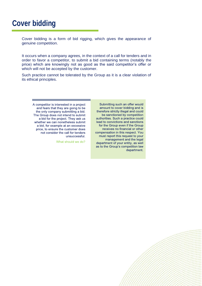### **Cover bidding**

Cover bidding is a form of bid rigging, which gives the appearance of genuine competition.

It occurs when a company agrees, in the context of a call for tenders and in order to favor a competitor, to submit a bid containing terms (notably the price) which are knowingly not as good as the said competitor's offer or which will not be accepted by the customer.

Such practice cannot be tolerated by the Group as it is a clear violation of its ethical principles.

> Submitting such an offer would amount to cover bidding and is therefore strictly illegal and could be sanctioned by competition authorities. Such a practice could lead to convictions and sanctions for the Group even if the Group receives no financial or other compensation in this respect. You must report this request to your management and the legal department of your entity, as well as to the Group's competition law department.

A competitor is interested in a project and fears that they are going to be the only company submitting a bid. The Group does not intend to submit a bid for the project. They ask us whether we can nonetheless submit a bid, for example at an excessive price, to ensure the customer does not consider the call for tenders unsuccessful.

What should we do?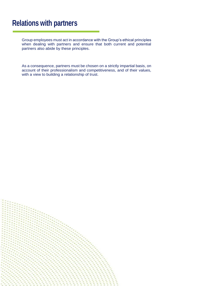#### **Relations with partners**

Group employees must act in accordance with the Group's ethical principles when dealing with partners and ensure that both current and potential partners also abide by these principles.

As a consequence, partners must be chosen on a strictly impartial basis, on account of their professionalism and competitiveness, and of their values, with a view to building a relationship of trust.

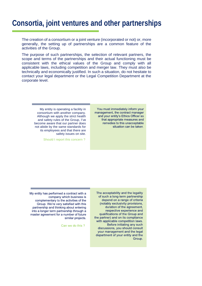### **Consortia, joint ventures and other partnerships**

The creation of a consortium or a joint venture (incorporated or not) or, more generally, the setting up of partnerships are a common feature of the activities of the Group.

The purpose of such partnerships, the selection of relevant partners, the scope and terms of the partnerships and their actual functioning must be consistent with the ethical values of the Group and comply with all applicable laws, including competition and merger law. They must also be technically and economically justified. In such a situation, do not hesitate to contact your legal department or the Legal Competition Department at the corporate level.

> You must immediately inform your management, the contract manager and your entity's Ethics Officer so that appropriate measures and remedies to this unacceptable situation can be taken.

My entity is operating a facility in consortium with another company. Although we apply the strict health and safety rules of the Group, I've become aware that our partner does not abide by the same standards for its employees and that there are safety issues on site.

Should I report this concern ?

The acceptability and the legality of such a long-term partnership depend on a range of criteria (notably exclusivity provisions, duration of the agreement, respective experience and qualifications of the Group and the partner) and on its compliance with applicable competition laws. Before initiating any such discussions, you should consult your management and the legal department of your entity and the Group.

My entity has performed a contract with a company which business is complementary to the activities of the Group. We're very satisfied with this partnership and thinking about entering into a longer term partnership through a master agreement for a number of future similar projects.

Can we do this?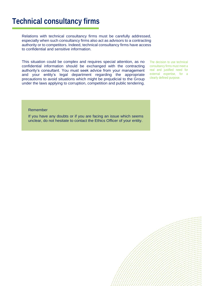### **Technical consultancy firms**

Relations with technical consultancy firms must be carefully addressed, especially when such consultancy firms also act as advisors to a contracting authority or to competitors. Indeed, technical consultancy firms have access to confidential and sensitive information.

This situation could be complex and requires special attention, as no confidential information should be exchanged with the contracting authority's consultant. You must seek advice from your management and your entity's legal department regarding the appropriate precautions to avoid situations which might be prejudicial to the Group under the laws applying to corruption, competition and public tendering.

The decision to use technical consultancy firms must meet a real and justified need for external expertise, for a clearly defined purpose.

#### Remember

If you have any doubts or if you are facing an issue which seems unclear, do not hesitate to contact the Ethics Officer of your entity.

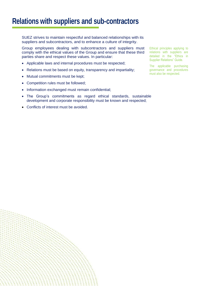### **Relations with suppliers and sub-contractors**

SUEZ strives to maintain respectful and balanced relationships with its suppliers and subcontractors, and to enhance a culture of integrity.

Group employees dealing with subcontractors and suppliers must comply with the ethical values of the Group and ensure that these third parties share and respect these values. In particular:

- Applicable laws and internal procedures must be respected;
- Relations must be based on equity, transparency and impartiality;
- Mutual commitments must be kept;
- Competition rules must be followed;
- Information exchanged must remain confidential;
- The Group's commitments as regard ethical standards, sustainable development and corporate responsibility must be known and respected;
- Conflicts of interest must be avoided.

Ethical principles applying to relations with suppliers are detailed in the "Ethics in Supplier Relations" Guide.

The applicable purchasing governance and procedures must also be respected.

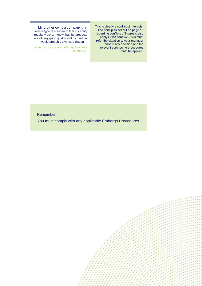This is clearly a conflict of interests. The principles set out on page 16 regarding conflicts of interests also apply in this situation. You must refer the situation to your manager prior to any decision and the relevant purchasing procedures<br>must be applied.

My brother owns a company that sells a type of equipment that my entity regularly buys. I know that the products are of very good quality and my brother would probably give us a discount.

Can I sign a contract with my brother's company?

#### Remember

You must comply with any applicable Embargo Procedures.

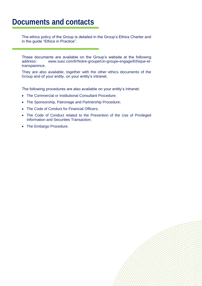### **Documents and contacts**

The ethics policy of the Group is detailed in the Group's Ethics Charter and in the guide "Ethics in Practice".

These documents are available on the Group's website at the following address: [www.suez.com/fr/Notre-groupe/Un-groupe-engage/Ethique-et](http://www.suez.com/fr/Notre-groupe/Un-groupe-engage/Ethique-et-)transparence.

They are also available, together with the other ethics documents of the Group and of your entity, on your entity's intranet.

The following procedures are also available on your entity's intranet:

- The Commercial or Institutional Consultant Procedure;
- The Sponsorship, Patronage and Partnership Procedure;
- The Code of Conduct for Financial Officers;
- The Code of Conduct related to the Prevention of the Use of Privileged Information and Securities Transaction;
- The Embargo Procedure.

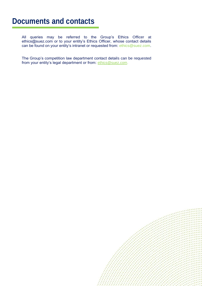### **Documents and contacts**

All queries may be referred to the Group's Ethics Officer at ethics@suez.com or to your entity's Ethics Officer, whose contact details can be found on your entity's intranet or requested from: [ethics@suez.com.](mailto:ethics@suez.com)

The Group's competition law department contact details can be requested from your entity's legal department or from: [ethics@suez.com.](mailto:ethics@suez.com)